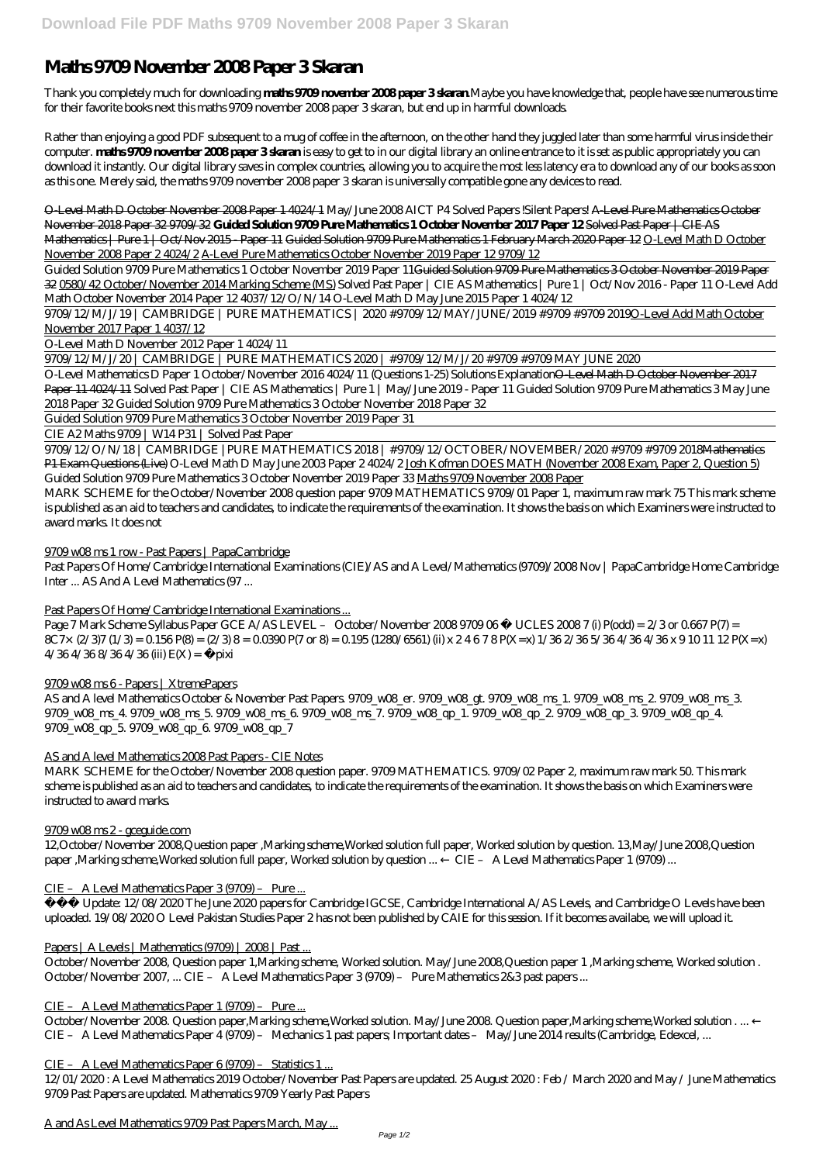# **Maths 9709 November 2008 Paper 3 Skaran**

Thank you completely much for downloading **maths 9709 november 2008 paper 3 skaran**.Maybe you have knowledge that, people have see numerous time for their favorite books next this maths 9709 november 2008 paper 3 skaran, but end up in harmful downloads.

Rather than enjoying a good PDF subsequent to a mug of coffee in the afternoon, on the other hand they juggled later than some harmful virus inside their computer. **maths 9709 november 2008 paper 3 skaran** is easy to get to in our digital library an online entrance to it is set as public appropriately you can download it instantly. Our digital library saves in complex countries, allowing you to acquire the most less latency era to download any of our books as soon as this one. Merely said, the maths 9709 november 2008 paper 3 skaran is universally compatible gone any devices to read.

O-Level Math D October November 2008 Paper 1 4024/1 *May/June 2008 AICT P4 Solved Papers !Silent Papers!* A-Level Pure Mathematics October November 2018 Paper 32 9709/32 **Guided Solution 9709 Pure Mathematics 1 October November 2017 Paper 12** Solved Past Paper | CIE AS Mathematics | Pure 1 | Oct/Nov 2015 - Paper 11 Guided Solution 9709 Pure Mathematics 1 February March 2020 Paper 12 O-Level Math D October November 2008 Paper 2 4024/2 A-Level Pure Mathematics October November 2019 Paper 12 9709/12

Guided Solution 9709 Pure Mathematics 1 October November 2019 Paper 11Guided Solution 9709 Pure Mathematics 3 October November 2019 Paper 32 0580/42 October/November 2014 Marking Scheme (MS) *Solved Past Paper | CIE AS Mathematics | Pure 1 | Oct/Nov 2016 - Paper 11 O-Level Add Math October November 2014 Paper 12 4037/12/O/N/14 O-Level Math D May June 2015 Paper 1 4024/12*

9709/12/M/J/19 | CAMBRIDGE | PURE MATHEMATICS | 2020 #9709/12/MAY/JUNE/2019 #9709 #9709 2019O-Level Add Math October November 2017 Paper 1 4037/12

O-Level Math D November 2012 Paper 1 4024/11

9709/12/M/J/20 | CAMBRIDGE | PURE MATHEMATICS 2020 | #9709/12/M/J/20 #9709 #9709 MAY JUNE 2020

O-Level Mathematics D Paper 1 October/November 2016 4024/11 (Questions 1-25) Solutions ExplanationO-Level Math D October November 2017 Paper 11 4024/11 *Solved Past Paper | CIE AS Mathematics | Pure 1 | May/June 2019 - Paper 11 Guided Solution 9709 Pure Mathematics 3 May June 2018 Paper 32* Guided Solution 9709 Pure Mathematics 3 October November 2018 Paper 32

Guided Solution 9709 Pure Mathematics 3 October November 2019 Paper 31

CIE A2 Maths 9709 | W14 P31 | Solved Past Paper

9709/12/O/N/18 | CAMBRIDGE |PURE MATHEMATICS 2018 | #9709/12/OCTOBER/NOVEMBER/2020 #9709 #9709 2018Mathematics P1 Exam Questions (Live) *O-Level Math D May June 2003 Paper 2 4024/2* Josh Kofman DOES MATH (November 2008 Exam, Paper 2, Question 5) Guided Solution 9709 Pure Mathematics 3 October November 2019 Paper 33 Maths 9709 November 2008 Paper

MARK SCHEME for the October/November 2008 question paper 9709 MATHEMATICS 9709/01 Paper 1, maximum raw mark 75 This mark scheme is published as an aid to teachers and candidates, to indicate the requirements of the examination. It shows the basis on which Examiners were instructed to award marks. It does not

## 9709 w08 ms 1 row - Past Papers | PapaCambridge

Past Papers Of Home/Cambridge International Examinations (CIE)/AS and A Level/Mathematics (9709)/2008 Nov | PapaCambridge Home Cambridge Inter ... AS And A Level Mathematics (97 ...

# Past Papers Of Home/Cambridge International Examinations ...

Page 7 Mark Scheme Syllabus Paper GCE A/AS LEVEL - October/November 2008 9709 06 © UCLES 2008 7 (i) P(odd) = 2/3 or 0.667 P(7) =  $8C\%$  (2/3)7 (1/3) = 0.156 P(8) = (2/3) 8 = 0.0390 P(7 or 8) = 0.195 (1280/6561) (ii) x 2.4678 P(X=x) 1/36 2/36 5/36 4/36 4/36 x 9 10 11 12 P(X=x)  $4/364/368/364/36$  (iii) E(X) = pixi

## 9709 w08 ms 6 - Papers | XtremePapers

AS and A level Mathematics October & November Past Papers. 9709\_w08\_er. 9709\_w08\_gt. 9709\_w08\_ms\_1. 9709\_w08\_ms\_2. 9709\_w08\_ms\_3. 9709\_w08\_ms\_4. 9709\_w08\_ms\_5. 9709\_w08\_ms\_6. 9709\_w08\_ms\_7. 9709\_w08\_qp\_1. 9709\_w08\_qp\_2. 9709\_w08\_qp\_3. 9709\_w08\_qp\_4. 9709\_w08\_qp\_5. 9709\_w08\_qp\_6. 9709\_w08\_qp\_7

## AS and A level Mathematics 2008 Past Papers - CIE Notes

MARK SCHEME for the October/November 2008 question paper. 9709 MATHEMATICS. 9709/02 Paper 2, maximum raw mark 50. This mark scheme is published as an aid to teachers and candidates, to indicate the requirements of the examination. It shows the basis on which Examiners were instructed to award marks.

## 9709 w08 ms 2 - gceguide.com

12,October/November 2008,Question paper ,Marking scheme,Worked solution full paper, Worked solution by question. 13,May/June 2008,Question paper ,Marking scheme,Worked solution full paper, Worked solution by question ... ← CIE – A Level Mathematics Paper 1 (9709) ...

#### CIE – A Level Mathematics Paper 3 (9709) – Pure ...

 Update: 12/08/2020 The June 2020 papers for Cambridge IGCSE, Cambridge International A/AS Levels, and Cambridge O Levels have been uploaded. 19/08/2020 O Level Pakistan Studies Paper 2 has not been published by CAIE for this session. If it becomes availabe, we will upload it.

#### Papers | A Levels | Mathematics (9709) | 2008 | Past ...

October/November 2008, Question paper 1,Marking scheme, Worked solution. May/June 2008,Question paper 1 ,Marking scheme, Worked solution . October/November 2007, ... CIE – A Level Mathematics Paper 3 (9709) – Pure Mathematics 2&3 past papers ...

## CIE – A Level Mathematics Paper 1 (9709) – Pure ...

October/November 2008. Question paper,Marking scheme,Worked solution. May/June 2008. Question paper,Marking scheme,Worked solution . ... ← CIE – A Level Mathematics Paper 4 (9709) – Mechanics 1 past papers; Important dates – May/June 2014 results (Cambridge, Edexcel, ...

#### CIE – A Level Mathematics Paper 6 (9709) – Statistics 1 ...

12/01/2020 : A Level Mathematics 2019 October/November Past Papers are updated. 25 August 2020 : Feb / March 2020 and May / June Mathematics 9709 Past Papers are updated. Mathematics 9709 Yearly Past Papers

A and As Level Mathematics 9709 Past Papers March, May ...